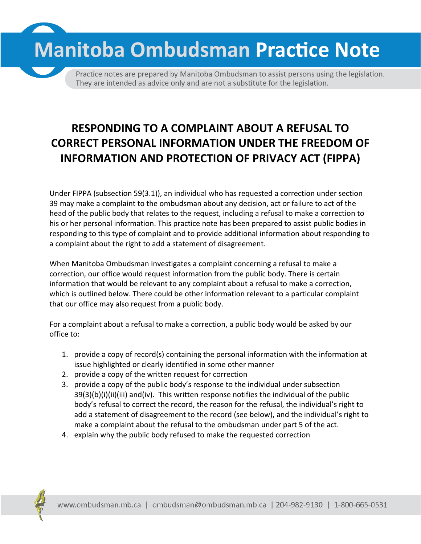

Practice notes are prepared by Manitoba Ombudsman to assist persons using the legislation. They are intended as advice only and are not a substitute for the legislation.

## **RESPONDING TO A COMPLAINT ABOUT A REFUSAL TO CORRECT PERSONAL INFORMATION UNDER THE FREEDOM OF INFORMATION AND PROTECTION OF PRIVACY ACT (FIPPA)**

Under FIPPA (subsection 59(3.1)), an individual who has requested a correction under section 39 may make a complaint to the ombudsman about any decision, act or failure to act of the head of the public body that relates to the request, including a refusal to make a correction to his or her personal information. This practice note has been prepared to assist public bodies in responding to this type of complaint and to provide additional information about responding to a complaint about the right to add a statement of disagreement.

When Manitoba Ombudsman investigates a complaint concerning a refusal to make a correction, our office would request information from the public body. There is certain information that would be relevant to any complaint about a refusal to make a correction, which is outlined below. There could be other information relevant to a particular complaint that our office may also request from a public body.

For a complaint about a refusal to make a correction, a public body would be asked by our office to:

- 1. provide a copy of record(s) containing the personal information with the information at issue highlighted or clearly identified in some other manner
- 2. provide a copy of the written request for correction
- 3. provide a copy of the public body's response to the individual under subsection 39(3)(b)(i)(ii)(iii) and(iv). This written response notifies the individual of the public body's refusal to correct the record, the reason for the refusal, the individual's right to add a statement of disagreement to the record (see below), and the individual's right to make a complaint about the refusal to the ombudsman under part 5 of the act.
- 4. explain why the public body refused to make the requested correction